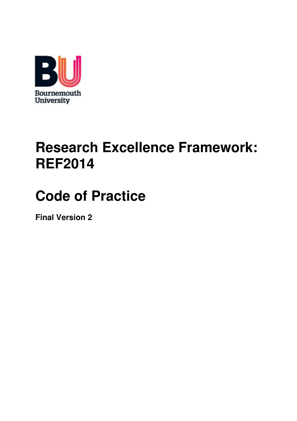

# **Research Excellence Framework: REF2014**

# **Code of Practice**

**Final Version 2**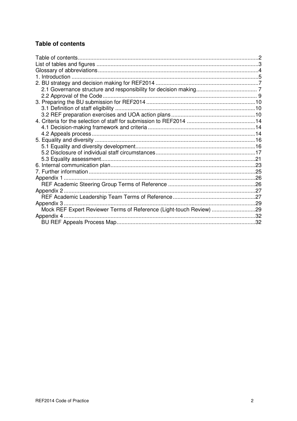# **Table of contents**

| Appendix 2                                                          |  |
|---------------------------------------------------------------------|--|
|                                                                     |  |
| Appendix 3                                                          |  |
| Mock REF Expert Reviewer Terms of Reference (Light-touch Review) 29 |  |
| Appendix 4                                                          |  |
|                                                                     |  |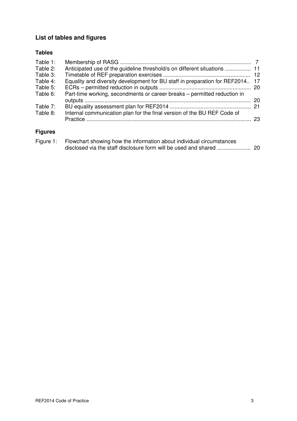# **List of tables and figures**

# **Tables**

| Table 1: |                                                                               |    |
|----------|-------------------------------------------------------------------------------|----|
| Table 2: |                                                                               |    |
| Table 3: |                                                                               |    |
| Table 4: | Equality and diversity development for BU staff in preparation for REF2014 17 |    |
| Table 5: |                                                                               |    |
| Table 6: | Part-time working, secondments or career breaks - permitted reduction in      |    |
|          |                                                                               |    |
| Table 7: |                                                                               |    |
| Table 8: | Internal communication plan for the final version of the BU REF Code of       |    |
|          |                                                                               | 23 |
|          |                                                                               |    |

#### **Figures**

| Figure 1: Flowchart showing how the information about individual circumstances |  |
|--------------------------------------------------------------------------------|--|
|                                                                                |  |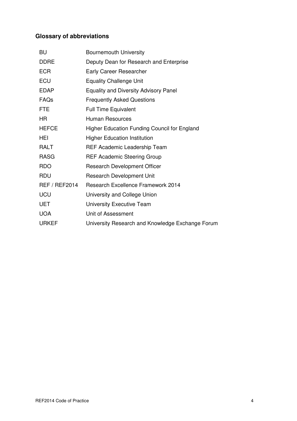# **Glossary of abbreviations**

| <b>Bournemouth University</b>                       |
|-----------------------------------------------------|
| Deputy Dean for Research and Enterprise             |
| <b>Early Career Researcher</b>                      |
| <b>Equality Challenge Unit</b>                      |
| <b>Equality and Diversity Advisory Panel</b>        |
| <b>Frequently Asked Questions</b>                   |
| <b>Full Time Equivalent</b>                         |
| <b>Human Resources</b>                              |
| <b>Higher Education Funding Council for England</b> |
| <b>Higher Education Institution</b>                 |
| REF Academic Leadership Team                        |
| <b>REF Academic Steering Group</b>                  |
| <b>Research Development Officer</b>                 |
| <b>Research Development Unit</b>                    |
| <b>Research Excellence Framework 2014</b>           |
| University and College Union                        |
| University Executive Team                           |
| Unit of Assessment                                  |
| University Research and Knowledge Exchange Forum    |
|                                                     |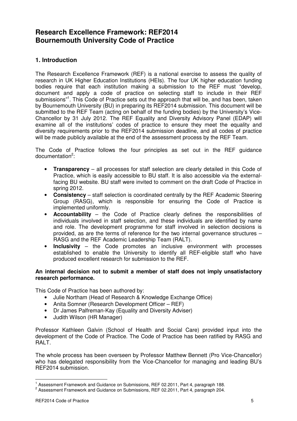# **Research Excellence Framework: REF2014 Bournemouth University Code of Practice**

# **1. Introduction**

The Research Excellence Framework (REF) is a national exercise to assess the quality of research in UK Higher Education Institutions (HEIs). The four UK higher education funding bodies require that each institution making a submission to the REF must "develop, document and apply a code of practice on selecting staff to include in their REF submissions"<sup>1</sup>. This Code of Practice sets out the approach that will be, and has been, taken by Bournemouth University (BU) in preparing its REF2014 submission. This document will be submitted to the REF Team (acting on behalf of the funding bodies) by the University's Vice-Chancellor by 31 July 2012. The REF Equality and Diversity Advisory Panel (EDAP) will examine all of the institutions' codes of practice to ensure they meet the equality and diversity requirements prior to the REF2014 submission deadline, and all codes of practice will be made publicly available at the end of the assessment process by the REF Team.

The Code of Practice follows the four principles as set out in the REF guidance documentation<sup>2</sup>:

- **Transparency** all processes for staff selection are clearly detailed in this Code of Practice, which is easily accessible to BU staff. It is also accessible via the externalfacing BU website. BU staff were invited to comment on the draft Code of Practice in spring 2012.
- **Consistency** staff selection is coordinated centrally by the REF Academic Steering Group (RASG), which is responsible for ensuring the Code of Practice is implemented uniformly.
- **Accountability** the Code of Practice clearly defines the responsibilities of individuals involved in staff selection, and these individuals are identified by name and role. The development programme for staff involved in selection decisions is provided, as are the terms of reference for the two internal governance structures – RASG and the REF Academic Leadership Team (RALT).
- **Inclusivity** the Code promotes an inclusive environment with processes established to enable the University to identify all REF-eligible staff who have produced excellent research for submission to the REF.

#### **An internal decision not to submit a member of staff does not imply unsatisfactory research performance.**

This Code of Practice has been authored by:

- Julie Northam (Head of Research & Knowledge Exchange Office)
- Anita Somner (Research Development Officer REF)
- Dr James Palfreman-Kay (Equality and Diversity Adviser)
- Judith Wilson (HR Manager)

Professor Kathleen Galvin (School of Health and Social Care) provided input into the development of the Code of Practice. The Code of Practice has been ratified by RASG and RALT.

The whole process has been overseen by Professor Matthew Bennett (Pro Vice-Chancellor) who has delegated responsibility from the Vice-Chancellor for managing and leading BU's REF2014 submission.

<sup>&</sup>lt;sup>1</sup> Assessment Framework and Guidance on Submissions, REF 02.2011, Part 4, paragraph 188.

 $2$  Assessment Framework and Guidance on Submissions, REF 02.2011, Part 4, paragraph 204.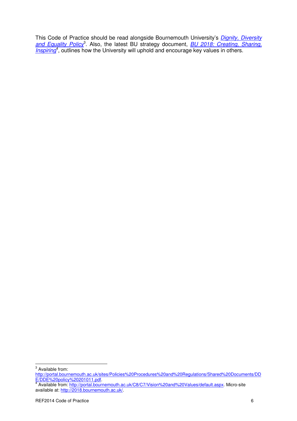This Code of Practice should be read alongside Bournemouth University's Dignity, Diversity and Equality Policy<sup>3</sup>. Also, the latest BU strategy document, **BU 2018: Creating, Sharing**, Inspiring<sup>4</sup>, outlines how the University will uphold and encourage key values in others.

<sup>&</sup>lt;sup>3</sup> Available from:

http://portal.bournemouth.ac.uk/sites/Policies%20Procedures%20and%20Regulations/Shared%20Documents/DD

<sup>&</sup>lt;u>E/DDE%20policy%20201011.pdf</u>.<br><sup>4</sup> Available from: <u>http://portal.bournemouth.ac.uk/C8/C7/Vision%20and%20Values/default.aspx</u>. Micro-site available at: http://2018.bournemouth.ac.uk/.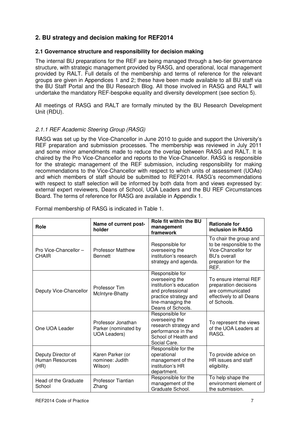# **2. BU strategy and decision making for REF2014**

# **2.1 Governance structure and responsibility for decision making**

The internal BU preparations for the REF are being managed through a two-tier governance structure, with strategic management provided by RASG, and operational, local management provided by RALT. Full details of the membership and terms of reference for the relevant groups are given in Appendices 1 and 2; these have been made available to all BU staff via the BU Staff Portal and the BU Research Blog. All those involved in RASG and RALT will undertake the mandatory REF-bespoke equality and diversity development (see section 5).

All meetings of RASG and RALT are formally minuted by the BU Research Development Unit (RDU).

# 2.1.1 REF Academic Steering Group (RASG)

RASG was set up by the Vice-Chancellor in June 2010 to guide and support the University's REF preparation and submission processes. The membership was reviewed in July 2011 and some minor amendments made to reduce the overlap between RASG and RALT. It is chaired by the Pro Vice-Chancellor and reports to the Vice-Chancellor. RASG is responsible for the strategic management of the REF submission, including responsibility for making recommendations to the Vice-Chancellor with respect to which units of assessment (UOAs) and which members of staff should be submitted to REF2014. RASG's recommendations with respect to staff selection will be informed by both data from and views expressed by: external expert reviewers, Deans of School, UOA Leaders and the BU REF Circumstances Board. The terms of reference for RASG are available in Appendix 1.

| Role                                                 | Name of current post-<br>holder                                   | <b>Role fit within the BU</b><br>management<br>framework                                                                                            | <b>Rationale for</b><br>inclusion in RASG                                                                                       |
|------------------------------------------------------|-------------------------------------------------------------------|-----------------------------------------------------------------------------------------------------------------------------------------------------|---------------------------------------------------------------------------------------------------------------------------------|
| Pro Vice-Chancellor-<br><b>CHAIR</b>                 | <b>Professor Matthew</b><br><b>Bennett</b>                        | Responsible for<br>overseeing the<br>institution's research<br>strategy and agenda.                                                                 | To chair the group and<br>to be responsible to the<br>Vice-Chancellor for<br><b>BU's overall</b><br>preparation for the<br>REF. |
| Deputy Vice-Chancellor                               | Professor Tim<br>McIntyre-Bhatty                                  | Responsible for<br>overseeing the<br>institution's education<br>and professional<br>practice strategy and<br>line-managing the<br>Deans of Schools. | To ensure internal REF<br>preparation decisions<br>are communicated<br>effectively to all Deans<br>of Schools.                  |
| One UOA Leader                                       | Professor Jonathan<br>Parker (nominated by<br><b>UOA Leaders)</b> | Responsible for<br>overseeing the<br>research strategy and<br>performance in the<br>School of Health and<br>Social Care.                            | To represent the views<br>of the UOA Leaders at<br>RASG.                                                                        |
| Deputy Director of<br><b>Human Resources</b><br>(HR) | Karen Parker (or<br>nominee: Judith<br>Wilson)                    | Responsible for the<br>operational<br>management of the<br>institution's HR<br>department.                                                          | To provide advice on<br>HR issues and staff<br>eligibility.                                                                     |
| Head of the Graduate<br>School                       | Professor Tiantian<br>Zhang                                       | Responsible for the<br>management of the<br>Graduate School.                                                                                        | To help shape the<br>environment element of<br>the submission.                                                                  |

Formal membership of RASG is indicated in Table 1.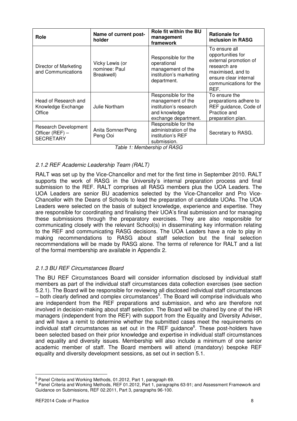| Role                                                        | Name of current post-<br>holder                | <b>Role fit within the BU</b><br>management<br>framework                                                    | <b>Rationale for</b><br>inclusion in RASG                                                                                                                   |
|-------------------------------------------------------------|------------------------------------------------|-------------------------------------------------------------------------------------------------------------|-------------------------------------------------------------------------------------------------------------------------------------------------------------|
| Director of Marketing<br>and Communications                 | Vicky Lewis (or<br>nominee: Paul<br>Breakwell) | Responsible for the<br>operational<br>management of the<br>institution's marketing<br>department.           | To ensure all<br>opportunities for<br>external promotion of<br>research are<br>maximised, and to<br>ensure clear internal<br>communications for the<br>REF. |
| Head of Research and<br>Knowledge Exchange<br>Office        | Julie Northam                                  | Responsible for the<br>management of the<br>institution's research<br>and knowledge<br>exchange department. | To ensure the<br>preparations adhere to<br>REF guidance, Code of<br>Practice and<br>preparation plan.                                                       |
| Research Development<br>Officer (REF) -<br><b>SECRETARY</b> | Anita Somner/Peng<br>Peng Ooi                  | Responsible for the<br>administration of the<br>institution's REF<br>submission.                            | Secretary to RASG.                                                                                                                                          |

Table 1: Membership of RASG

# 2.1.2 REF Academic Leadership Team (RALT)

RALT was set up by the Vice-Chancellor and met for the first time in September 2010. RALT supports the work of RASG in the University's internal preparation process and final submission to the REF. RALT comprises all RASG members plus the UOA Leaders. The UOA Leaders are senior BU academics selected by the Vice-Chancellor and Pro Vice-Chancellor with the Deans of Schools to lead the preparation of candidate UOAs. The UOA Leaders were selected on the basis of subject knowledge, experience and expertise. They are responsible for coordinating and finalising their UOA's final submission and for managing these submissions through the preparatory exercises. They are also responsible for communicating closely with the relevant School(s) in disseminating key information relating to the REF and communicating RASG decisions. The UOA Leaders have a role to play in making recommendations to RASG about staff selection but the final selection recommendations will be made by RASG alone. The terms of reference for RALT and a list of the formal membership are available in Appendix 2.

# 2.1.3 BU REF Circumstances Board

The BU REF Circumstances Board will consider information disclosed by individual staff members as part of the individual staff circumstances data collection exercises (see section 5.2.1). The Board will be responsible for reviewing all disclosed individual staff circumstances – both clearly defined and complex circumstances<sup>5</sup>. The Board will comprise individuals who are independent from the REF preparations and submission, and who are therefore not involved in decision-making about staff selection. The Board will be chaired by one of the HR managers (independent from the REF) with support from the Equality and Diversity Adviser, and will have a remit to determine whether the submitted cases meet the requirements on individual staff circumstances as set out in the REF guidance<sup>6</sup>. These post-holders have been selected based on their prior knowledge and expertise in individual staff circumstances and equality and diversity issues. Membership will also include a minimum of one senior academic member of staff. The Board members will attend (mandatory) bespoke REF equality and diversity development sessions, as set out in section 5.1.

<sup>&</sup>lt;sup>5</sup> Panel Criteria and Working Methods, 01.2012, Part 1, paragraph 69.

<sup>6</sup> Panel Criteria and Working Methods, REF 01.2012, Part 1, paragraphs 63-91; and Assessment Framework and Guidance on Submissions, REF 02.2011, Part 3, paragraphs 96-100.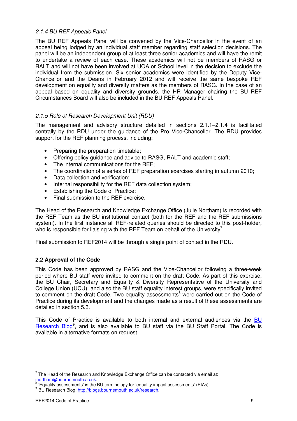# 2.1.4 BU REF Appeals Panel

The BU REF Appeals Panel will be convened by the Vice-Chancellor in the event of an appeal being lodged by an individual staff member regarding staff selection decisions. The panel will be an independent group of at least three senior academics and will have the remit to undertake a review of each case. These academics will not be members of RASG or RALT and will not have been involved at UOA or School level in the decision to exclude the individual from the submission. Six senior academics were identified by the Deputy Vice-Chancellor and the Deans in February 2012 and will receive the same bespoke REF development on equality and diversity matters as the members of RASG. In the case of an appeal based on equality and diversity grounds, the HR Manager chairing the BU REF Circumstances Board will also be included in the BU REF Appeals Panel.

# 2.1.5 Role of Research Development Unit (RDU)

The management and advisory structure detailed in sections 2.1.1–2.1.4 is facilitated centrally by the RDU under the guidance of the Pro Vice-Chancellor. The RDU provides support for the REF planning process, including:

- Preparing the preparation timetable;
- Offering policy guidance and advice to RASG, RALT and academic staff;
- The internal communications for the REF:
- The coordination of a series of REF preparation exercises starting in autumn 2010;
- Data collection and verification;
- Internal responsibility for the REF data collection system;
- Establishing the Code of Practice;
- Final submission to the REF exercise.

The Head of the Research and Knowledge Exchange Office (Julie Northam) is recorded with the REF Team as the BU institutional contact (both for the REF and the REF submissions system). In the first instance all REF-related queries should be directed to this post-holder. who is responsible for liaising with the REF Team on behalf of the University<sup>7</sup>.

Final submission to REF2014 will be through a single point of contact in the RDU.

#### **2.2 Approval of the Code**

This Code has been approved by RASG and the Vice-Chancellor following a three-week period where BU staff were invited to comment on the draft Code. As part of this exercise, the BU Chair, Secretary and Equality & Diversity Representative of the University and College Union (UCU), and also the BU staff equality interest groups, were specifically invited to comment on the draft Code. Two equality assessments<sup>8</sup> were carried out on the Code of Practice during its development and the changes made as a result of these assessments are detailed in section 5.3.

This Code of Practice is available to both internal and external audiences via the BU Research Blog<sup>9</sup>, and is also available to BU staff via the BU Staff Portal. The Code is available in alternative formats on request.

 $7$  The Head of the Research and Knowledge Exchange Office can be contacted via email at: inortham@bournemouth.ac.uk.<br><sup>8</sup> 'Equelity essessments' is the <sup>E</sup>

 <sup>&#</sup>x27;Equality assessments' is the BU terminology for 'equality impact assessments' (EIAs).

<sup>&</sup>lt;sup>9</sup> BU Research Blog: http://blogs.bournemouth.ac.uk/research.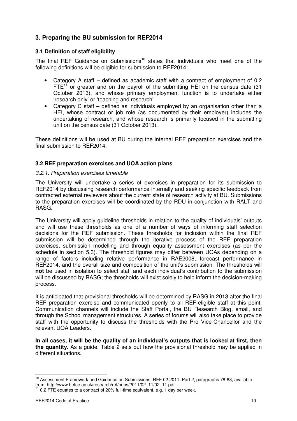# **3. Preparing the BU submission for REF2014**

# **3.1 Definition of staff eligibility**

The final REF Guidance on Submissions<sup>10</sup> states that individuals who meet one of the following definitions will be eligible for submission to REF2014:

- Category A staff defined as academic staff with a contract of employment of 0.2  $FTE<sup>11</sup>$  or greater and on the payroll of the submitting HEI on the census date (31) October 2013), and whose primary employment function is to undertake either 'research only' or 'teaching and research'.
- Category C staff defined as individuals employed by an organisation other than a HEI, whose contract or job role (as documented by their employer) includes the undertaking of research, and whose research is primarily focused in the submitting unit on the census date (31 October 2013).

These definitions will be used at BU during the internal REF preparation exercises and the final submission to REF2014.

# **3.2 REF preparation exercises and UOA action plans**

#### 3.2.1. Preparation exercises timetable

The University will undertake a series of exercises in preparation for its submission to REF2014 by discussing research performance internally and seeking specific feedback from contracted external reviewers about the current state of research activity at BU. Submissions to the preparation exercises will be coordinated by the RDU in conjunction with RALT and RASG.

The University will apply guideline thresholds in relation to the quality of individuals' outputs and will use these thresholds as one of a number of ways of informing staff selection decisions for the REF submission. These thresholds for inclusion within the final REF submission will be determined through the iterative process of the REF preparation exercises, submission modelling and through equality assessment exercises (as per the schedule in section 5.3). The threshold figures may differ between UOAs depending on a range of factors including relative performance in RAE2008, forecast performance in REF2014, and the overall size and composition of the unit's submission. The thresholds will **not** be used in isolation to select staff and each individual's contribution to the submission will be discussed by RASG; the thresholds will exist solely to help inform the decision-making process.

It is anticipated that provisional thresholds will be determined by RASG in 2013 after the final REF preparation exercise and communicated openly to all REF-eligible staff at this point. Communication channels will include the Staff Portal, the BU Research Blog, email, and through the School management structures. A series of forums will also take place to provide staff with the opportunity to discuss the thresholds with the Pro Vice-Chancellor and the relevant UOA Leaders.

**In all cases, it will be the quality of an individual's outputs that is looked at first, then the quantity.** As a guide, Table 2 sets out how the provisional threshold may be applied in different situations.

<sup>&</sup>lt;sup>10</sup> Assessment Framework and Guidance on Submissions, REF 02.2011, Part 2, paragraphs 78-83, available from: http://www.hefce.ac.uk/research/ref/pubs/2011/02\_11/02\_11.pdf.

 $11$  0.2 FTE equates to a contract of 20% full-time equivalent, e.g. 1 day per week.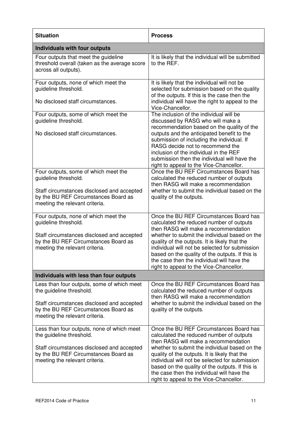| <b>Situation</b>                                                                                                                                                                               | <b>Process</b>                                                                                                                                                                                                                                                                                                                                                                                                              |  |  |
|------------------------------------------------------------------------------------------------------------------------------------------------------------------------------------------------|-----------------------------------------------------------------------------------------------------------------------------------------------------------------------------------------------------------------------------------------------------------------------------------------------------------------------------------------------------------------------------------------------------------------------------|--|--|
| <b>Individuals with four outputs</b>                                                                                                                                                           |                                                                                                                                                                                                                                                                                                                                                                                                                             |  |  |
| Four outputs that meet the guideline<br>threshold overall (taken as the average score<br>across all outputs).                                                                                  | It is likely that the individual will be submitted<br>to the REF.                                                                                                                                                                                                                                                                                                                                                           |  |  |
| Four outputs, none of which meet the<br>guideline threshold.<br>No disclosed staff circumstances.                                                                                              | It is likely that the individual will not be<br>selected for submission based on the quality<br>of the outputs. If this is the case then the<br>individual will have the right to appeal to the<br>Vice-Chancellor.                                                                                                                                                                                                         |  |  |
| Four outputs, some of which meet the<br>guideline threshold.<br>No disclosed staff circumstances.                                                                                              | The inclusion of the individual will be<br>discussed by RASG who will make a<br>recommendation based on the quality of the<br>outputs and the anticipated benefit to the<br>submission of including the individual. If<br>RASG decide not to recommend the<br>inclusion of the individual in the REF<br>submission then the individual will have the<br>right to appeal to the Vice-Chancellor.                             |  |  |
| Four outputs, some of which meet the<br>guideline threshold.<br>Staff circumstances disclosed and accepted<br>by the BU REF Circumstances Board as<br>meeting the relevant criteria.           | Once the BU REF Circumstances Board has<br>calculated the reduced number of outputs<br>then RASG will make a recommendation<br>whether to submit the individual based on the<br>quality of the outputs.                                                                                                                                                                                                                     |  |  |
| Four outputs, none of which meet the<br>guideline threshold.<br>Staff circumstances disclosed and accepted<br>by the BU REF Circumstances Board as<br>meeting the relevant criteria.           | Once the BU REF Circumstances Board has<br>calculated the reduced number of outputs<br>then RASG will make a recommendation<br>whether to submit the individual based on the<br>quality of the outputs. It is likely that the<br>individual will not be selected for submission<br>based on the quality of the outputs. If this is<br>the case then the individual will have the<br>right to appeal to the Vice-Chancellor. |  |  |
| Individuals with less than four outputs                                                                                                                                                        |                                                                                                                                                                                                                                                                                                                                                                                                                             |  |  |
| Less than four outputs, some of which meet<br>the guideline threshold.<br>Staff circumstances disclosed and accepted<br>by the BU REF Circumstances Board as<br>meeting the relevant criteria. | Once the BU REF Circumstances Board has<br>calculated the reduced number of outputs<br>then RASG will make a recommendation<br>whether to submit the individual based on the<br>quality of the outputs.                                                                                                                                                                                                                     |  |  |
| Less than four outputs, none of which meet<br>the guideline threshold.<br>Staff circumstances disclosed and accepted<br>by the BU REF Circumstances Board as<br>meeting the relevant criteria. | Once the BU REF Circumstances Board has<br>calculated the reduced number of outputs<br>then RASG will make a recommendation<br>whether to submit the individual based on the<br>quality of the outputs. It is likely that the<br>individual will not be selected for submission<br>based on the quality of the outputs. If this is<br>the case then the individual will have the<br>right to appeal to the Vice-Chancellor. |  |  |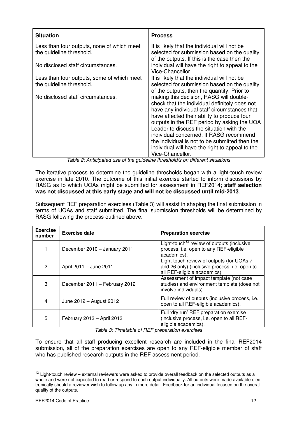| <b>Situation</b>                           | <b>Process</b>                                                                                  |
|--------------------------------------------|-------------------------------------------------------------------------------------------------|
| Less than four outputs, none of which meet | It is likely that the individual will not be                                                    |
| the guideline threshold.                   | selected for submission based on the quality                                                    |
| No disclosed staff circumstances.          | of the outputs. If this is the case then the<br>individual will have the right to appeal to the |
|                                            | Vice-Chancellor.                                                                                |
| Less than four outputs, some of which meet | It is likely that the individual will not be                                                    |
| the guideline threshold.                   | selected for submission based on the quality                                                    |
|                                            | of the outputs, then the quantity. Prior to                                                     |
| No disclosed staff circumstances.          | making this decision, RASG will double-                                                         |
|                                            | check that the individual definitely does not                                                   |
|                                            | have any individual staff circumstances that                                                    |
|                                            | have affected their ability to produce four                                                     |
|                                            | outputs in the REF period by asking the UOA                                                     |
|                                            | Leader to discuss the situation with the                                                        |
|                                            | individual concerned. If RASG recommend                                                         |
|                                            | the individual is not to be submitted then the                                                  |
|                                            | individual will have the right to appeal to the                                                 |
|                                            | Vice-Chancellor.                                                                                |

Table 2: Anticipated use of the guideline threshold/s on different situations

The iterative process to determine the guideline thresholds began with a light-touch review exercise in late 2010. The outcome of this initial exercise started to inform discussions by RASG as to which UOAs might be submitted for assessment in REF2014; **staff selection was not discussed at this early stage and will not be discussed until mid-2013**.

Subsequent REF preparation exercises (Table 3) will assist in shaping the final submission in terms of UOAs and staff submitted. The final submission thresholds will be determined by RASG following the process outlined above.

| <b>Exercise</b><br>number | <b>Exercise date</b>          | <b>Preparation exercise</b>                                                                                                |
|---------------------------|-------------------------------|----------------------------------------------------------------------------------------------------------------------------|
|                           | December 2010 - January 2011  | Light-touch <sup>12</sup> review of outputs (inclusive<br>process, i.e. open to any REF-eligible<br>academics).            |
| 2                         | April 2011 - June 2011        | Light-touch review of outputs (for UOAs 7<br>and 26 only) (inclusive process, i.e. open to<br>all REF-eligible academics). |
| 3                         | December 2011 - February 2012 | Assessment of impact template (not case<br>studies) and environment template (does not<br>involve individuals).            |
| 4                         | June 2012 - August 2012       | Full review of outputs (inclusive process, i.e.<br>open to all REF-eligible academics).                                    |
| 5                         | February 2013 - April 2013    | Full 'dry run' REF preparation exercise<br>(inclusive process, i.e. open to all REF-<br>eligible academics).               |

Table 3: Timetable of REF preparation exercises

To ensure that all staff producing excellent research are included in the final REF2014 submission, all of the preparation exercises are open to any REF-eligible member of staff who has published research outputs in the REF assessment period.

 $12$  Light-touch review – external reviewers were asked to provide overall feedback on the selected outputs as a whole and were not expected to read or respond to each output individually. All outputs were made available electronically should a reviewer wish to follow up any in more detail. Feedback for an individual focused on the overall quality of the outputs.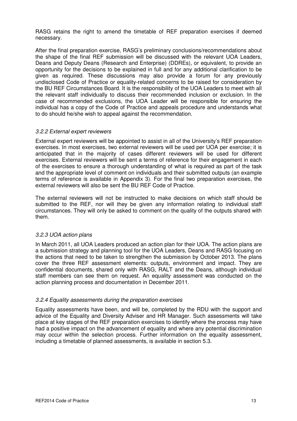RASG retains the right to amend the timetable of REF preparation exercises if deemed necessary.

After the final preparation exercise, RASG's preliminary conclusions/recommendations about the shape of the final REF submission will be discussed with the relevant UOA Leaders, Deans and Deputy Deans (Research and Enterprise) (DDREs), or equivalent, to provide an opportunity for the decisions to be explained in full and for any additional clarification to be given as required. These discussions may also provide a forum for any previously undisclosed Code of Practice or equality-related concerns to be raised for consideration by the BU REF Circumstances Board. It is the responsibility of the UOA Leaders to meet with all the relevant staff individually to discuss their recommended inclusion or exclusion. In the case of recommended exclusions, the UOA Leader will be responsible for ensuring the individual has a copy of the Code of Practice and appeals procedure and understands what to do should he/she wish to appeal against the recommendation.

#### 3.2.2 External expert reviewers

External expert reviewers will be appointed to assist in all of the University's REF preparation exercises. In most exercises, two external reviewers will be used per UOA per exercise; it is anticipated that in the majority of cases different reviewers will be used for different exercises. External reviewers will be sent a terms of reference for their engagement in each of the exercises to ensure a thorough understanding of what is required as part of the task and the appropriate level of comment on individuals and their submitted outputs (an example terms of reference is available in Appendix 3). For the final two preparation exercises, the external reviewers will also be sent the BU REF Code of Practice.

The external reviewers will not be instructed to make decisions on which staff should be submitted to the REF, nor will they be given any information relating to individual staff circumstances. They will only be asked to comment on the quality of the outputs shared with them.

#### 3.2.3 UOA action plans

In March 2011, all UOA Leaders produced an action plan for their UOA. The action plans are a submission strategy and planning tool for the UOA Leaders, Deans and RASG focusing on the actions that need to be taken to strengthen the submission by October 2013. The plans cover the three REF assessment elements: outputs, environment and impact. They are confidential documents, shared only with RASG, RALT and the Deans, although individual staff members can see them on request. An equality assessment was conducted on the action planning process and documentation in December 2011.

#### 3.2.4 Equality assessments during the preparation exercises

Equality assessments have been, and will be, completed by the RDU with the support and advice of the Equality and Diversity Adviser and HR Manager. Such assessments will take place at key stages of the REF preparation exercises to identify where the process may have had a positive impact on the advancement of equality and where any potential discrimination may occur within the selection process. Further information on the equality assessment, including a timetable of planned assessments, is available in section 5.3.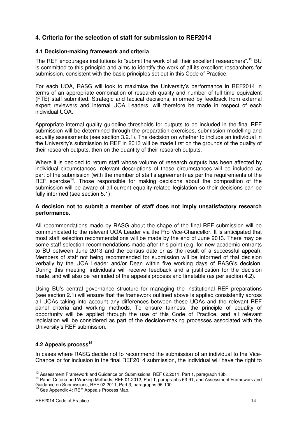# **4. Criteria for the selection of staff for submission to REF2014**

# **4.1 Decision-making framework and criteria**

The REF encourages institutions to "submit the work of all their excellent researchers".<sup>13</sup> BU is committed to this principle and aims to identify the work of all its excellent researchers for submission, consistent with the basic principles set out in this Code of Practice.

For each UOA, RASG will look to maximise the University's performance in REF2014 in terms of an appropriate combination of research quality and number of full time equivalent (FTE) staff submitted. Strategic and tactical decisions, informed by feedback from external expert reviewers and internal UOA Leaders, will therefore be made in respect of each individual UOA.

Appropriate internal quality guideline thresholds for outputs to be included in the final REF submission will be determined through the preparation exercises, submission modelling and equality assessments (see section 3.2.1). The decision on whether to include an individual in the University's submission to REF in 2013 will be made first on the grounds of the quality of their research outputs, then on the quantity of their research outputs.

Where it is decided to return staff whose volume of research outputs has been affected by individual circumstances, relevant descriptions of those circumstances will be included as part of the submission (with the member of staff's agreement) as per the requirements of the  $REF$  exercise<sup>14</sup>. Those responsible for making decisions about the composition of the submission will be aware of all current equality-related legislation so their decisions can be fully informed (see section 5.1).

#### **A decision not to submit a member of staff does not imply unsatisfactory research performance.**

All recommendations made by RASG about the shape of the final REF submission will be communicated to the relevant UOA Leader via the Pro Vice-Chancellor. It is anticipated that most staff selection recommendations will be made by the end of June 2013. There may be some staff selection recommendations made after this point (e.g. for new academic entrants to BU between June 2013 and the census date or as the result of a successful appeal). Members of staff not being recommended for submission will be informed of that decision verbally by the UOA Leader and/or Dean within five working days of RASG's decision. During this meeting, individuals will receive feedback and a justification for the decision made, and will also be reminded of the appeals process and timetable (as per section 4.2).

Using BU's central governance structure for managing the institutional REF preparations (see section 2.1) will ensure that the framework outlined above is applied consistently across all UOAs taking into account any differences between these UOAs and the relevant REF panel criteria and working methods. To ensure fairness, the principle of equality of opportunity will be applied through the use of this Code of Practice, and all relevant legislation will be considered as part of the decision-making processes associated with the University's REF submission.

# **4.2 Appeals process<sup>15</sup>**

In cases where RASG decide not to recommend the submission of an individual to the Vice-Chancellor for inclusion in the final REF2014 submission, the individual will have the right to

<sup>&</sup>lt;sup>13</sup> Assessment Framework and Guidance on Submissions, REF 02.2011, Part 1, paragraph 18b.

<sup>&</sup>lt;sup>14</sup> Panel Criteria and Working Methods, REF 01.2012, Part 1, paragraphs 63-91; and Assessment Framework and Guidance on Submissions, REF 02.2011, Part 3, paragraphs 96-100.

<sup>&</sup>lt;sup>15</sup> See Appendix 4: REF Appeals Process Map.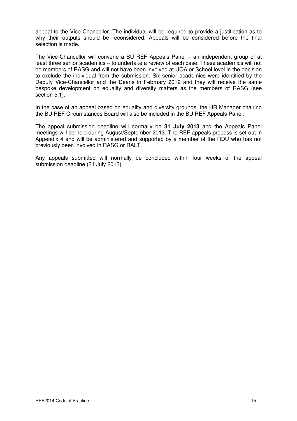appeal to the Vice-Chancellor. The individual will be required to provide a justification as to why their outputs should be reconsidered. Appeals will be considered before the final selection is made.

The Vice-Chancellor will convene a BU REF Appeals Panel – an independent group of at least three senior academics – to undertake a review of each case. These academics will not be members of RASG and will not have been involved at UOA or School level in the decision to exclude the individual from the submission. Six senior academics were identified by the Deputy Vice-Chancellor and the Deans in February 2012 and they will receive the same bespoke development on equality and diversity matters as the members of RASG (see section 5.1).

In the case of an appeal based on equality and diversity grounds, the HR Manager chairing the BU REF Circumstances Board will also be included in the BU REF Appeals Panel.

The appeal submission deadline will normally be **31 July 2013** and the Appeals Panel meetings will be held during August/September 2013. The REF appeals process is set out in Appendix 4 and will be administered and supported by a member of the RDU who has not previously been involved in RASG or RALT.

Any appeals submitted will normally be concluded within four weeks of the appeal submission deadline (31 July 2013).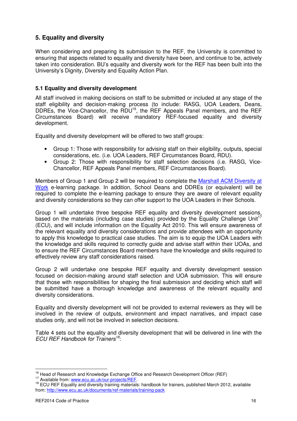# **5. Equality and diversity**

When considering and preparing its submission to the REF, the University is committed to ensuring that aspects related to equality and diversity have been, and continue to be, actively taken into consideration. BU's equality and diversity work for the REF has been built into the University's Dignity, Diversity and Equality Action Plan.

# **5.1 Equality and diversity development**

All staff involved in making decisions on staff to be submitted or included at any stage of the staff eligibility and decision-making process (to include: RASG, UOA Leaders, Deans, DDREs, the Vice-Chancellor, the RDU<sup>16</sup>, the REF Appeals Panel members, and the REF Circumstances Board) will receive mandatory REF-focused equality and diversity development.

Equality and diversity development will be offered to two staff groups:

- Group 1: Those with responsibility for advising staff on their eligibility, outputs, special considerations, etc. (i.e. UOA Leaders, REF Circumstances Board, RDU).
- Group 2: Those with responsibility for staff selection decisions (i.e. RASG, Vice-Chancellor, REF Appeals Panel members, REF Circumstances Board).

Members of Group 1 and Group 2 will be required to complete the Marshall ACM Diversity at Work e-learning package. In addition, School Deans and DDREs (or equivalent) will be required to complete the e-learning package to ensure they are aware of relevant equality and diversity considerations so they can offer support to the UOA Leaders in their Schools.

Group 1 will undertake three bespoke REF equality and diversity development sessions, based on the materials (including case studies) provided by the Equality Challenge Unit<sup>17</sup> (ECU), and will include information on the Equality Act 2010. This will ensure awareness of the relevant equality and diversity considerations and provide attendees with an opportunity to apply this knowledge to practical case studies. The aim is to equip the UOA Leaders with the knowledge and skills required to correctly guide and advise staff within their UOAs, and to ensure the REF Circumstances Board members have the knowledge and skills required to effectively review any staff considerations raised.

Group 2 will undertake one bespoke REF equality and diversity development session focused on decision-making around staff selection and UOA submission. This will ensure that those with responsibilities for shaping the final submission and deciding which staff will be submitted have a thorough knowledge and awareness of the relevant equality and diversity considerations.

Equality and diversity development will not be provided to external reviewers as they will be involved in the review of outputs, environment and impact narratives, and impact case studies only, and will not be involved in selection decisions.

Table 4 sets out the equality and diversity development that will be delivered in line with the ECU REF Handbook for Trainers<sup>18</sup>:

<sup>&</sup>lt;sup>16</sup> Head of Research and Knowledge Exchange Office and Research Development Officer (REF)

<sup>&</sup>lt;sup>17</sup> Available from: www.ecu.ac.uk/our-projects/REF.

<sup>&</sup>lt;sup>18</sup> ECU REF Equality and diversity training materials: handbook for trainers, published March 2012, available from: http://www.ecu.ac.uk/documents/ref-materials/training-pack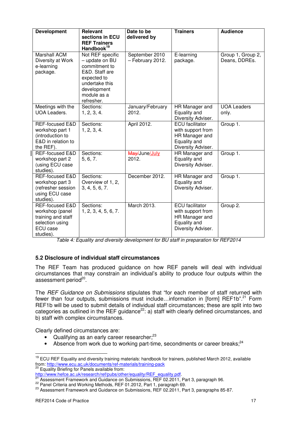| <b>Development</b>                                                                                   | <b>Relevant</b><br>sections in ECU<br><b>REF Trainers</b><br>Handbook <sup>19</sup>                                                                | Date to be<br>delivered by         | <b>Trainers</b>                                                                                     | <b>Audience</b>                    |
|------------------------------------------------------------------------------------------------------|----------------------------------------------------------------------------------------------------------------------------------------------------|------------------------------------|-----------------------------------------------------------------------------------------------------|------------------------------------|
| Marshall ACM<br>Diversity at Work<br>e-learning<br>package.                                          | Not REF specific<br>- update on BU<br>commitment to<br>E&D. Staff are<br>expected to<br>undertake this<br>development<br>module as a<br>refresher. | September 2010<br>- February 2012. | E-learning<br>package.                                                                              | Group 1, Group 2,<br>Deans, DDREs. |
| Meetings with the<br><b>UOA Leaders.</b>                                                             | Sections:<br>1, 2, 3, 4.                                                                                                                           | January/February<br>2012.          | HR Manager and<br>Equality and<br>Diversity Adviser.                                                | <b>UOA Leaders</b><br>only.        |
| <b>REF-focused E&amp;D</b><br>workshop part 1<br>(introduction to<br>E&D in relation to<br>the REF). | Sections:<br>1, 2, 3, 4.                                                                                                                           | April 2012.                        | <b>ECU</b> facilitator<br>with support from<br>HR Manager and<br>Equality and<br>Diversity Adviser. | Group 1.                           |
| REF-focused E&D<br>workshop part 2<br>(using ECU case<br>studies).                                   | Sections:<br>5, 6, 7.                                                                                                                              | May/June/July<br>2012.             | HR Manager and<br>Equality and<br>Diversity Adviser.                                                | Group 1.                           |
| REF-focused E&D<br>workshop part 3<br>(refresher session<br>using ECU case<br>studies).              | Sections:<br>Overview of 1, 2,<br>3, 4, 5, 6, 7.                                                                                                   | December 2012.                     | HR Manager and<br>Equality and<br>Diversity Adviser.                                                | Group 1.                           |
| REF-focused E&D<br>workshop (panel<br>training and staff<br>selection using<br>ECU case<br>studies). | Sections:<br>1, 2, 3, 4, 5, 6, 7.                                                                                                                  | March 2013.                        | <b>ECU</b> facilitator<br>with support from<br>HR Manager and<br>Equality and<br>Diversity Adviser. | Group 2.                           |

Table 4: Equality and diversity development for BU staff in preparation for REF2014

# **5.2 Disclosure of individual staff circumstances**

The REF Team has produced guidance on how REF panels will deal with individual circumstances that may constrain an individual's ability to produce four outputs within the assessment period<sup>20</sup>.

The REF Guidance on Submissions stipulates that "for each member of staff returned with fewer than four outputs, submissions must include...information in [form] REF1b".<sup>21</sup> Form REF1b will be used to submit details of individual staff circumstances; these are split into two categories as outlined in the REF guidance<sup>22</sup>: a) staff with clearly defined circumstances, and b) staff with complex circumstances.

Clearly defined circumstances are:

- Qualifying as an early career researcher; $^{23}$
- Absence from work due to working part-time, secondments or career breaks: $24$

<sup>&</sup>lt;sup>19</sup> ECU REF Equality and diversity training materials: handbook for trainers, published March 2012, available From: http://www.ecu.ac.uk/documents/ref-materials/training-pack<br>
20 From: http://www.ecu.ac.uk/documents/ref-materials/training-pack<br>
20 From: http://www.ecu.ac.uk/documents/ref-materials/training-pack Equality Briefing for Panels available from:

http://www.hefce.ac.uk/research/ref/pubs/other/equality/REF\_equality.pdf.

 $^{21}$  Assessment Framework and Guidance on Submissions, REF 02.2011, Part 3, paragraph 96.

<sup>&</sup>lt;sup>22</sup> Panel Criteria and Working Methods, REF 01.2012, Part 1, paragraph 69.

<sup>&</sup>lt;sup>23</sup> Assessment Framework and Guidance on Submissions, REF 02.2011, Part 3, paragraphs 85-87.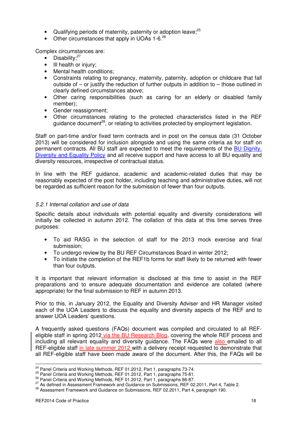- Qualifying periods of maternity, paternity or adoption leave;<sup>25</sup>
- Other circumstances that apply in UOAs  $1-6.^{26}$

Complex circumstances are:

- Disability:<sup>27</sup>
- Ill health or injury:
- Mental health conditions:
- Constraints relating to pregnancy, maternity, paternity, adoption or childcare that fall outside of  $-$  or justify the reduction of further outputs in addition to  $-$  those outlined in clearly defined circumstances above;
- Other caring responsibilities (such as caring for an elderly or disabled family member);
- Gender reassignment;
- Other circumstances relating to the protected characteristics listed in the REF guidance document<sup>28</sup>, or relating to activities protected by employment legislation.

Staff on part-time and/or fixed term contracts and in post on the census date (31 October 2013) will be considered for inclusion alongside and using the same criteria as for staff on permanent contracts. All BU staff are expected to meet the requirements of the BU Dignity, Diversity and Equality Policy and all receive support and have access to all BU equality and diversity resources, irrespective of contractual status.

In line with the REF guidance, academic and academic-related duties that may be reasonably expected of the post holder, including teaching and administrative duties, will not be regarded as sufficient reason for the submission of fewer than four outputs.

# 5.2.1 Internal collation and use of data

Specific details about individuals with potential equality and diversity considerations will initially be collected in autumn 2012. The collation of this data at this time serves three purposes:

- To aid RASG in the selection of staff for the 2013 mock exercise and final submission;
- To undergo review by the BU REF Circumstances Board in winter 2012;
- To initiate the completion of the REF1b forms for staff likely to be returned with fewer than four outputs.

It is important that relevant information is disclosed at this time to assist in the REF preparations and to ensure adequate documentation and evidence are collated (where appropriate) for the final submission to REF in autumn 2013.

Prior to this, in January 2012, the Equality and Diversity Adviser and HR Manager visited each of the UOA Leaders to discuss the equality and diversity aspects of the REF and to answer UOA Leaders' questions.

A frequently asked questions (FAQs) document was compiled and circulated to all REFeligible staff in spring 2012 via the BU Research Blog, covering the whole REF process and including all relevant equality and diversity guidance. The FAQs were also emailed to all REF-eligible staff in late summer 2012 with a delivery receipt requested to demonstrate that all REF-eligible staff have been made aware of the document. After this, the FAQs will be

<sup>&</sup>lt;sup>24</sup> Panel Criteria and Working Methods, REF 01.2012, Part 1, paragraphs 73-74.

<sup>25</sup> Panel Criteria and Working Methods, REF 01.2012, Part 1, paragraphs 75-81.

<sup>26</sup> Panel Criteria and Working Methods, REF 01.2012, Part 1, paragraphs 86-87.

<sup>&</sup>lt;sup>27</sup> As defined in Assessment Framework and Guidance on Submissions, REF 02.2011, Part 4, Table 2.

<sup>&</sup>lt;sup>28</sup> Assessment Framework and Guidance on Submissions, REF 02.2011, Part 4, paragraph 190.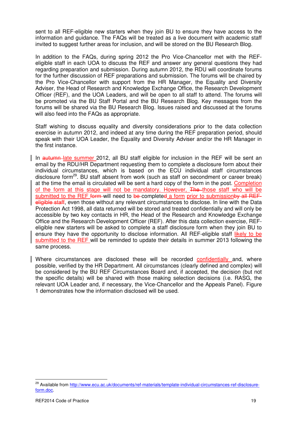sent to all REF-eligible new starters when they join BU to ensure they have access to the information and guidance. The FAQs will be treated as a live document with academic staff invited to suggest further areas for inclusion, and will be stored on the BU Research Blog.

In addition to the FAQs, during spring 2012 the Pro Vice-Chancellor met with the REFeligible staff in each UOA to discuss the REF and answer any general questions they had regarding preparation and submission. During autumn 2012, the RDU will coordinate forums for the further discussion of REF preparations and submission. The forums will be chaired by the Pro Vice-Chancellor with support from the HR Manager, the Equality and Diversity Adviser, the Head of Research and Knowledge Exchange Office, the Research Development Officer (REF), and the UOA Leaders, and will be open to all staff to attend. The forums will be promoted via the BU Staff Portal and the BU Research Blog. Key messages from the forums will be shared via the BU Research Blog. Issues raised and discussed at the forums will also feed into the FAQs as appropriate.

Staff wishing to discuss equality and diversity considerations prior to the data collection exercise in autumn 2012, and indeed at any time during the REF preparation period, should speak with their UOA Leader, the Equality and Diversity Adviser and/or the HR Manager in the first instance.

In autumn late summer 2012, all BU staff eligible for inclusion in the REF will be sent an email by the RDU/HR Department requesting them to complete a disclosure form about their individual circumstances, which is based on the ECU individual staff circumstances disclosure form<sup>29</sup>. BU staff absent from work (such as staff on secondment or career break) at the time the email is circulated will be sent a hard copy of the form in the post. Completion of the form at this stage will not be mandatory. However, The those staff who will be submitted to the REF form-will need to be-completed a form prior to submissionby all REFeligible staff, even those without any relevant circumstances to disclose. In line with the Data Protection Act 1998, all data returned will be stored and treated confidentially and will only be accessible by two key contacts in HR, the Head of the Research and Knowledge Exchange Office and the Research Development Officer (REF). After this data collection exercise, REFeligible new starters will be asked to complete a staff disclosure form when they join BU to ensure they have the opportunity to disclose information. All REF-eligible staff likely to be submitted to the REF will be reminded to update their details in summer 2013 following the same process.

Where circumstances are disclosed these will be recorded confidentially and, where possible, verified by the HR Department. All circumstances (clearly defined and complex) will be considered by the BU REF Circumstances Board and, if accepted, the decision (but not the specific details) will be shared with those making selection decisions (i.e. RASG, the relevant UOA Leader and, if necessary, the Vice-Chancellor and the Appeals Panel). Figure 1 demonstrates how the information disclosed will be used.

<sup>&</sup>lt;sup>29</sup> Available from http://www.ecu.ac.uk/documents/ref-materials/template-individual-circumstances-ref-disclosureform.doc.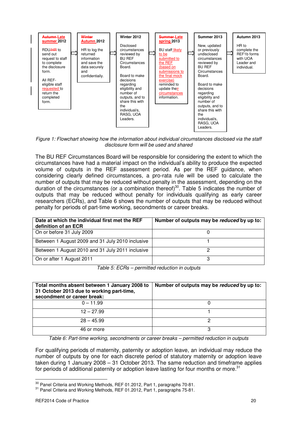

Figure 1: Flowchart showing how the information about individual circumstances disclosed via the staff disclosure form will be used and shared

The BU REF Circumstances Board will be responsible for considering the extent to which the circumstances have had a material impact on the individual's ability to produce the expected volume of outputs in the REF assessment period. As per the REF guidance, when considering clearly defined circumstances, a pro-rata rule will be used to calculate the number of outputs that may be reduced without penalty in the assessment, depending on the duration of the circumstances (or a combination thereof)<sup>30</sup>. Table 5 indicates the number of outputs that may be reduced without penalty for individuals qualifying as early career researchers (ECRs), and Table 6 shows the number of outputs that may be reduced without penalty for periods of part-time working, secondments or career breaks.

| Date at which the individual first met the REF<br>definition of an ECR | Number of outputs may be reduced by up to: |
|------------------------------------------------------------------------|--------------------------------------------|
| On or before 31 July 2009                                              |                                            |
| Between 1 August 2009 and 31 July 2010 inclusive                       |                                            |
| Between 1 August 2010 and 31 July 2011 inclusive                       |                                            |
| On or after 1 August 2011                                              |                                            |

Table 5: ECRs – permitted reduction in outputs

| Total months absent between 1 January 2008 to<br>31 October 2013 due to working part-time,<br>secondment or career break: | Number of outputs may be reduced by up to: |
|---------------------------------------------------------------------------------------------------------------------------|--------------------------------------------|
| $0 - 11.99$                                                                                                               |                                            |
| $12 - 27.99$                                                                                                              |                                            |
| $28 - 45.99$                                                                                                              | כי                                         |
| 46 or more                                                                                                                | 3                                          |

Table 6: Part-time working, secondments or career breaks – permitted reduction in outputs

For qualifying periods of maternity, paternity or adoption leave, an individual may reduce the number of outputs by one for each discrete period of statutory maternity or adoption leave taken during 1 January 2008 – 31 October 2013. The same reduction and timeframe applies for periods of additional paternity or adoption leave lasting for four months or more.<sup>31</sup>

<sup>&</sup>lt;sup>30</sup> Panel Criteria and Working Methods, REF 01.2012, Part 1, paragraphs 70-81.

<sup>&</sup>lt;sup>31</sup> Panel Criteria and Working Methods, REF 01.2012, Part 1, paragraphs 75-81.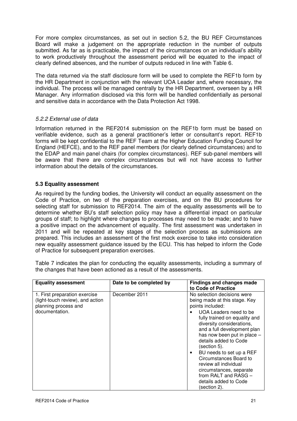For more complex circumstances, as set out in section 5.2, the BU REF Circumstances Board will make a judgement on the appropriate reduction in the number of outputs submitted. As far as is practicable, the impact of the circumstances on an individual's ability to work productively throughout the assessment period will be equated to the impact of clearly defined absences, and the number of outputs reduced in line with Table 6.

The data returned via the staff disclosure form will be used to complete the REF1b form by the HR Department in conjunction with the relevant UOA Leader and, where necessary, the individual. The process will be managed centrally by the HR Department, overseen by a HR Manager. Any information disclosed via this form will be handled confidentially as personal and sensitive data in accordance with the Data Protection Act 1998.

# 5.2.2 External use of data

Information returned in the REF2014 submission on the REF1b form must be based on verifiable evidence, such as a general practitioner's letter or consultant's report. REF1b forms will be kept confidential to the REF Team at the Higher Education Funding Council for England (HEFCE), and to the REF panel members (for clearly defined circumstances) and to the EDAP and main panel chairs (for complex circumstances). REF sub-panel members will be aware that there are complex circumstances but will not have access to further information about the details of the circumstances.

# **5.3 Equality assessment**

As required by the funding bodies, the University will conduct an equality assessment on the Code of Practice, on two of the preparation exercises, and on the BU procedures for selecting staff for submission to REF2014. The aim of the equality assessments will be to determine whether BU's staff selection policy may have a differential impact on particular groups of staff; to highlight where changes to processes may need to be made; and to have a positive impact on the advancement of equality. The first assessment was undertaken in 2011 and will be repeated at key stages of the selection process as submissions are prepared. This includes an assessment of the first mock exercise to take into consideration new equality assessment guidance issued by the ECU. This has helped to inform the Code of Practice for subsequent preparation exercises.

Table 7 indicates the plan for conducting the equality assessments, including a summary of the changes that have been actioned as a result of the assessments.

| <b>Equality assessment</b>                                                                                  | Date to be completed by | <b>Findings and changes made</b>                                                                                                                                                                                                                                                                                                                                                                                                                                |
|-------------------------------------------------------------------------------------------------------------|-------------------------|-----------------------------------------------------------------------------------------------------------------------------------------------------------------------------------------------------------------------------------------------------------------------------------------------------------------------------------------------------------------------------------------------------------------------------------------------------------------|
|                                                                                                             |                         | to Code of Practice                                                                                                                                                                                                                                                                                                                                                                                                                                             |
| 1. First preparation exercise<br>(light-touch review), and action<br>planning process and<br>documentation. | December 2011           | No selection decisions were<br>being made at this stage. Key<br>points included:<br>UOA Leaders need to be<br>fully trained on equality and<br>diversity considerations,<br>and a full development plan<br>has now been put in place -<br>details added to Code<br>(section 5).<br>BU needs to set up a REF<br>٠<br>Circumstances Board to<br>review all individual<br>circumstances, separate<br>from RALT and RASG -<br>details added to Code<br>(section 2). |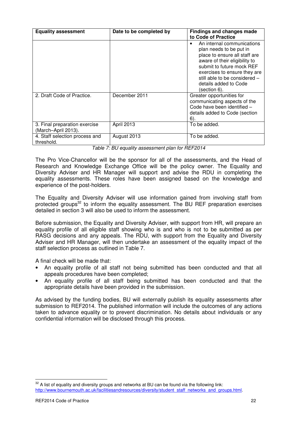| <b>Equality assessment</b>                           | Date to be completed by | <b>Findings and changes made</b><br>to Code of Practice                                                                                                                                                                                                        |
|------------------------------------------------------|-------------------------|----------------------------------------------------------------------------------------------------------------------------------------------------------------------------------------------------------------------------------------------------------------|
|                                                      |                         | An internal communications<br>plan needs to be put in<br>place to ensure all staff are<br>aware of their eligibility to<br>submit to future mock REF<br>exercises to ensure they are<br>still able to be considered -<br>details added to Code<br>(section 6). |
| 2. Draft Code of Practice.                           | December 2011           | Greater opportunities for<br>communicating aspects of the<br>Code have been identified -<br>details added to Code (section<br>6)                                                                                                                               |
| 3. Final preparation exercise<br>(March-April 2013). | April 2013              | To be added.                                                                                                                                                                                                                                                   |
| 4. Staff selection process and<br>threshold.         | August 2013             | To be added.                                                                                                                                                                                                                                                   |

Table 7: BU equality assessment plan for REF2014

The Pro Vice-Chancellor will be the sponsor for all of the assessments, and the Head of Research and Knowledge Exchange Office will be the policy owner. The Equality and Diversity Adviser and HR Manager will support and advise the RDU in completing the equality assessments. These roles have been assigned based on the knowledge and experience of the post-holders.

The Equality and Diversity Adviser will use information gained from involving staff from protected groups<sup>32</sup> to inform the equality assessment. The BU REF preparation exercises detailed in section 3 will also be used to inform the assessment.

Before submission, the Equality and Diversity Adviser, with support from HR, will prepare an equality profile of all eligible staff showing who is and who is not to be submitted as per RASG decisions and any appeals. The RDU, with support from the Equality and Diversity Adviser and HR Manager, will then undertake an assessment of the equality impact of the staff selection process as outlined in Table 7.

A final check will be made that:

- An equality profile of all staff not being submitted has been conducted and that all appeals procedures have been completed;
- An equality profile of all staff being submitted has been conducted and that the appropriate details have been provided in the submission.

As advised by the funding bodies, BU will externally publish its equality assessments after submission to REF2014. The published information will include the outcomes of any actions taken to advance equality or to prevent discrimination. No details about individuals or any confidential information will be disclosed through this process.

 $32$  A list of equality and diversity groups and networks at BU can be found via the following link: http://www.bournemouth.ac.uk/facilitiesandresources/diversity/student\_staff\_networks\_and\_groups.html.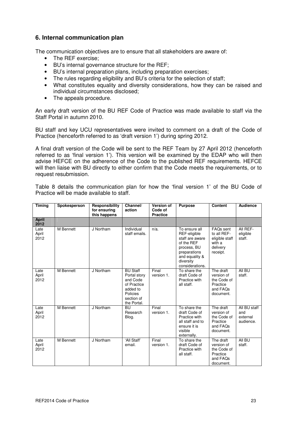# **6. Internal communication plan**

The communication objectives are to ensure that all stakeholders are aware of:

- The REF exercise:
- BU's internal governance structure for the REF;
- BU's internal preparation plans, including preparation exercises;
- The rules regarding eligibility and BU's criteria for the selection of staff;
- What constitutes equality and diversity considerations, how they can be raised and individual circumstances disclosed;
- The appeals procedure.

An early draft version of the BU REF Code of Practice was made available to staff via the Staff Portal in autumn 2010.

BU staff and key UCU representatives were invited to comment on a draft of the Code of Practice (henceforth referred to as 'draft version 1') during spring 2012.

A final draft version of the Code will be sent to the REF Team by 27 April 2012 (henceforth referred to as 'final version 1'). This version will be examined by the EDAP who will then advise HEFCE on the adherence of the Code to the published REF requirements. HEFCE will then liaise with BU directly to either confirm that the Code meets the requirements, or to request resubmission.

Table 8 details the communication plan for how the 'final version 1' of the BU Code of Practice will be made available to staff.

| <b>Timing</b>         | Spokesperson | Responsibility<br>for ensuring<br>this happens | Channel/<br>action                                                                                              | <b>Version of</b><br>Code of<br><b>Practice</b> | <b>Purpose</b>                                                                                                                                  | Content                                                                      | <b>Audience</b>                              |
|-----------------------|--------------|------------------------------------------------|-----------------------------------------------------------------------------------------------------------------|-------------------------------------------------|-------------------------------------------------------------------------------------------------------------------------------------------------|------------------------------------------------------------------------------|----------------------------------------------|
| <b>April</b><br>2012  |              |                                                |                                                                                                                 |                                                 |                                                                                                                                                 |                                                                              |                                              |
| Late<br>April<br>2012 | M Bennett    | J Northam                                      | Individual<br>staff emails.                                                                                     | $n/a$ .                                         | To ensure all<br>REF-eligible<br>staff are aware<br>of the REF<br>process, BU<br>preparations<br>and equality &<br>diversity<br>considerations. | FAQs sent<br>to all REF-<br>eligible staff<br>with a<br>delivery<br>receipt. | All REF-<br>eligible<br>staff.               |
| Late<br>April<br>2012 | M Bennett    | J Northam                                      | <b>BU Staff</b><br>Portal story<br>and Code<br>of Practice<br>added to<br>Policies<br>section of<br>the Portal. | Final<br>version 1.                             | To share the<br>draft Code of<br>Practice with<br>all staff.                                                                                    | The draft<br>version of<br>the Code of<br>Practice<br>and FAQs<br>document.  | All BU<br>staff.                             |
| Late<br>April<br>2012 | M Bennett    | J Northam                                      | BU<br>Research<br>Blog.                                                                                         | Final<br>version 1.                             | To share the<br>draft Code of<br>Practice with<br>all staff and to<br>ensure it is<br>visible<br>externally.                                    | The draft<br>version of<br>the Code of<br>Practice<br>and FAOs<br>document.  | All BU staff<br>and<br>external<br>audience. |
| Late<br>April<br>2012 | M Bennett    | J Northam                                      | 'All Staff'<br>email.                                                                                           | Final<br>version 1.                             | To share the<br>draft Code of<br>Practice with<br>all staff.                                                                                    | The draft<br>version of<br>the Code of<br>Practice<br>and FAQs<br>document.  | All BU<br>staff.                             |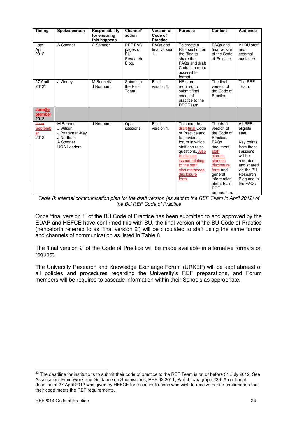| <b>Timing</b>                    | Spokesperson                                                                            | Responsibility<br>for ensuring<br>this happens | Channel/<br>action                                           | <b>Version of</b><br>Code of<br><b>Practice</b> | <b>Purpose</b>                                                                                                                                                                                                       | <b>Content</b>                                                                                                                                                                                          | <b>Audience</b>                                                                                                                                                   |
|----------------------------------|-----------------------------------------------------------------------------------------|------------------------------------------------|--------------------------------------------------------------|-------------------------------------------------|----------------------------------------------------------------------------------------------------------------------------------------------------------------------------------------------------------------------|---------------------------------------------------------------------------------------------------------------------------------------------------------------------------------------------------------|-------------------------------------------------------------------------------------------------------------------------------------------------------------------|
| Late<br>April<br>2012            | A Somner                                                                                | A Somner                                       | <b>REF FAQ</b><br>pages on<br><b>BU</b><br>Research<br>Blog. | FAQ <sub>s</sub> and<br>final version<br>1.     | To create a<br>REF section on<br>the Blog to<br>share the<br>FAQs and draft<br>Code in a more<br>accessible<br>format.                                                                                               | FAQs and<br>final version<br>of the Code<br>of Practice.                                                                                                                                                | All BU staff<br>and<br>external<br>audience.                                                                                                                      |
| 27 April<br>$2012^{33}$          | J Vinney                                                                                | M Bennett/<br>J Northam                        | Submit to<br>the REF<br>Team.                                | Final<br>version 1.                             | <b>HEIs are</b><br>required to<br>submit final<br>codes of<br>practice to the<br>REF Team.                                                                                                                           | The final<br>version of<br>the Code of<br>Practice.                                                                                                                                                     | The REF<br>Team.                                                                                                                                                  |
| <b>JuneSe</b><br>ptember<br>2012 |                                                                                         |                                                |                                                              |                                                 |                                                                                                                                                                                                                      |                                                                                                                                                                                                         |                                                                                                                                                                   |
| June<br>Septemb<br>er<br>2012    | M Bennett<br>J Wilson<br>J Palfreman-Kay<br>J Northam<br>A Somner<br><b>UOA Leaders</b> | J Northam                                      | Open<br>sessions.                                            | Final<br>version 1.                             | To share the<br>draft-final Code<br>of Practice and<br>to provide a<br>forum in which<br>staff can raise<br>questions. Also<br>to discuss<br>issues relating<br>to the staff<br>circumstances<br>disclosure<br>form. | The draft<br>version of<br>the Code of<br>Practice.<br>FAQs<br>document,<br>staff<br>circum-<br>stances<br>disclosure<br>form and<br>general<br>information<br>about BU's<br><b>REF</b><br>preparation. | All REF-<br>eligible<br>staff.<br>Key points<br>from these<br>sessions<br>will be<br>recorded<br>and shared<br>via the BU<br>Research<br>Blog and in<br>the FAQs. |

Table 8: Internal communication plan for the draft version (as sent to the REF Team in April 2012) of the BU REF Code of Practice

Once 'final version 1' of the BU Code of Practice has been submitted to and approved by the EDAP and HEFCE have confirmed this with BU, the final version of the BU Code of Practice (henceforth referred to as 'final version 2') will be circulated to staff using the same format and channels of communication as listed in Table 8.

The 'final version 2' of the Code of Practice will be made available in alternative formats on request.

The University Research and Knowledge Exchange Forum (URKEF) will be kept abreast of all policies and procedures regarding the University's REF preparations, and Forum members will be required to cascade information within their Schools as appropriate.

<sup>&</sup>lt;sup>33</sup> The deadline for institutions to submit their code of practice to the REF Team is on or before 31 July 2012. See Assessment Framework and Guidance on Submissions, REF 02.2011, Part 4, paragraph 229. An optional deadline of 27 April 2012 was given by HEFCE for those institutions who wish to receive earlier confirmation that their code meets the REF requirements.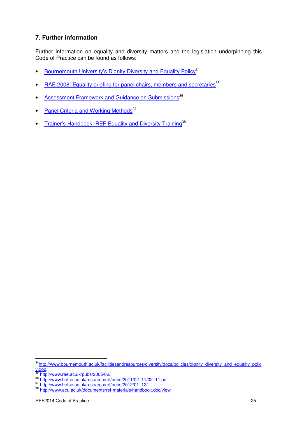# **7. Further information**

Further information on equality and diversity matters and the legislation underpinning this Code of Practice can be found as follows:

- Bournemouth University's Dignity Diversity and Equality Policy<sup>34</sup>
- RAE 2008: Equality briefing for panel chairs, members and secretaries<sup>35</sup>
- Assessment Framework and Guidance on Submissions<sup>36</sup>
- Panel Criteria and Working Methods<sup>37</sup>
- Trainer's Handbook: REF Equality and Diversity Training<sup>38</sup>

<sup>34</sup>http://www.bournemouth.ac.uk/facilitiesandresources/diversity/docs/policies/dignity\_diversity\_and\_equality\_polic y.doc.

<sup>35</sup> http://www.rae.ac.uk/pubs/2005/02/.

<sup>36</sup> http://www.hefce.ac.uk/research/ref/pubs/2011/02\_11/02\_11.pdf.

<sup>37</sup> http://www.hefce.ac.uk/research/ref/pubs/2012/01\_12/.

<sup>38</sup> http://www.ecu.ac.uk/documents/ref-materials/handbook.doc/view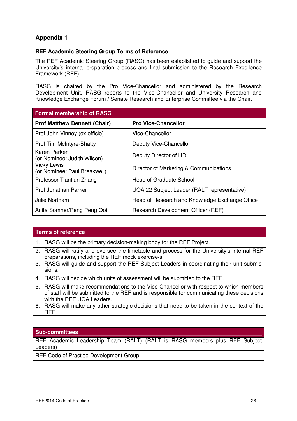# **Appendix 1**

# **REF Academic Steering Group Terms of Reference**

The REF Academic Steering Group (RASG) has been established to guide and support the University's internal preparation process and final submission to the Research Excellence Framework (REF).

RASG is chaired by the Pro Vice-Chancellor and administered by the Research Development Unit. RASG reports to the Vice-Chancellor and University Research and Knowledge Exchange Forum / Senate Research and Enterprise Committee via the Chair.

| <b>Formal membership of RASG</b>                   |                                                |  |  |
|----------------------------------------------------|------------------------------------------------|--|--|
| <b>Prof Matthew Bennett (Chair)</b>                | <b>Pro Vice-Chancellor</b>                     |  |  |
| Prof John Vinney (ex officio)                      | Vice-Chancellor                                |  |  |
| <b>Prof Tim McIntyre-Bhatty</b>                    | Deputy Vice-Chancellor                         |  |  |
| Karen Parker<br>(or Nominee: Judith Wilson)        | Deputy Director of HR                          |  |  |
| <b>Vicky Lewis</b><br>(or Nominee: Paul Breakwell) | Director of Marketing & Communications         |  |  |
| Professor Tiantian Zhang                           | <b>Head of Graduate School</b>                 |  |  |
| Prof Jonathan Parker                               | UOA 22 Subject Leader (RALT representative)    |  |  |
| Julie Northam                                      | Head of Research and Knowledge Exchange Office |  |  |
| Anita Somner/Peng Peng Ooi                         | Research Development Officer (REF)             |  |  |

#### **Terms of reference**

- 1. RASG will be the primary decision-making body for the REF Project.
- 2. RASG will ratify and oversee the timetable and process for the University's internal REF preparations, including the REF mock exercise/s.
- 3. RASG will guide and support the REF Subject Leaders in coordinating their unit submissions.
- 4. RASG will decide which units of assessment will be submitted to the REF.
- 5. RASG will make recommendations to the Vice-Chancellor with respect to which members of staff will be submitted to the REF and is responsible for communicating these decisions with the REF UOA Leaders.
- 6. RASG will make any other strategic decisions that need to be taken in the context of the REF.

#### **Sub-committees**

REF Academic Leadership Team (RALT) (RALT is RASG members plus REF Subject Leaders)

REF Code of Practice Development Group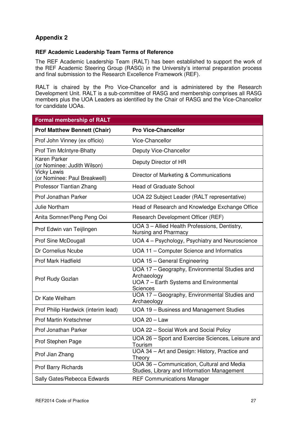# **Appendix 2**

# **REF Academic Leadership Team Terms of Reference**

The REF Academic Leadership Team (RALT) has been established to support the work of the REF Academic Steering Group (RASG) in the University's internal preparation process and final submission to the Research Excellence Framework (REF).

RALT is chaired by the Pro Vice-Chancellor and is administered by the Research Development Unit. RALT is a sub-committee of RASG and membership comprises all RASG members plus the UOA Leaders as identified by the Chair of RASG and the Vice-Chancellor for candidate UOAs.

| <b>Formal membership of RALT</b>                   |                                                                                                                            |
|----------------------------------------------------|----------------------------------------------------------------------------------------------------------------------------|
| <b>Prof Matthew Bennett (Chair)</b>                | <b>Pro Vice-Chancellor</b>                                                                                                 |
| Prof John Vinney (ex officio)                      | Vice-Chancellor                                                                                                            |
| Prof Tim McIntyre-Bhatty                           | Deputy Vice-Chancellor                                                                                                     |
| <b>Karen Parker</b><br>(or Nominee: Judith Wilson) | Deputy Director of HR                                                                                                      |
| <b>Vicky Lewis</b><br>(or Nominee: Paul Breakwell) | Director of Marketing & Communications                                                                                     |
| Professor Tiantian Zhang                           | <b>Head of Graduate School</b>                                                                                             |
| Prof Jonathan Parker                               | UOA 22 Subject Leader (RALT representative)                                                                                |
| Julie Northam                                      | Head of Research and Knowledge Exchange Office                                                                             |
| Anita Somner/Peng Peng Ooi                         | Research Development Officer (REF)                                                                                         |
| Prof Edwin van Teijlingen                          | UOA 3 - Allied Health Professions, Dentistry,<br>Nursing and Pharmacy                                                      |
| <b>Prof Sine McDougall</b>                         | UOA 4 - Psychology, Psychiatry and Neuroscience                                                                            |
| Dr Cornelius Ncube                                 | UOA 11 - Computer Science and Informatics                                                                                  |
| <b>Prof Mark Hadfield</b>                          | UOA 15 - General Engineering                                                                                               |
| Prof Rudy Gozlan                                   | UOA 17 - Geography, Environmental Studies and<br>Archaeology<br>UOA 7 - Earth Systems and Environmental<br><b>Sciences</b> |
| Dr Kate Welham                                     | UOA 17 - Geography, Environmental Studies and<br>Archaeology                                                               |
| Prof Philip Hardwick (interim lead)                | UOA 19 - Business and Management Studies                                                                                   |
| <b>Prof Martin Kretschmer</b>                      | $UOA 20 - Law$                                                                                                             |
| Prof Jonathan Parker                               | UOA 22 - Social Work and Social Policy                                                                                     |
| Prof Stephen Page                                  | UOA 26 - Sport and Exercise Sciences, Leisure and<br>Tourism                                                               |
| Prof Jian Zhang                                    | UOA 34 - Art and Design: History, Practice and<br>Theory                                                                   |
| Prof Barry Richards                                | UOA 36 - Communication, Cultural and Media<br>Studies, Library and Information Management                                  |
| Sally Gates/Rebecca Edwards                        | <b>REF Communications Manager</b>                                                                                          |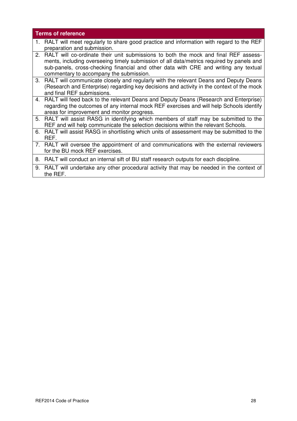# **Terms of reference**

- 1. RALT will meet regularly to share good practice and information with regard to the REF preparation and submission.
- 2. RALT will co-ordinate their unit submissions to both the mock and final REF assessments, including overseeing timely submission of all data/metrics required by panels and sub-panels, cross-checking financial and other data with CRE and writing any textual commentary to accompany the submission.
- 3. RALT will communicate closely and regularly with the relevant Deans and Deputy Deans (Research and Enterprise) regarding key decisions and activity in the context of the mock and final REF submissions.
- 4. RALT will feed back to the relevant Deans and Deputy Deans (Research and Enterprise) regarding the outcomes of any internal mock REF exercises and will help Schools identify areas for improvement and monitor progress.
- 5. RALT will assist RASG in identifying which members of staff may be submitted to the REF and will help communicate the selection decisions within the relevant Schools.
- 6. RALT will assist RASG in shortlisting which units of assessment may be submitted to the REF.
- 7. RALT will oversee the appointment of and communications with the external reviewers for the BU mock REF exercises.

8. RALT will conduct an internal sift of BU staff research outputs for each discipline.

9. RALT will undertake any other procedural activity that may be needed in the context of the REF.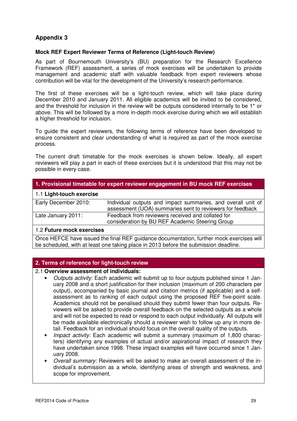# **Appendix 3**

# **Mock REF Expert Reviewer Terms of Reference (Light-touch Review)**

As part of Bournemouth University's (BU) preparation for the Research Excellence Framework (REF) assessment, a series of mock exercises will be undertaken to provide management and academic staff with valuable feedback from expert reviewers whose contribution will be vital for the development of the University's research performance.

The first of these exercises will be a light-touch review, which will take place during December 2010 and January 2011. All eligible academics will be invited to be considered, and the threshold for inclusion in the review will be outputs considered internally to be 1\* or above. This will be followed by a more in-depth mock exercise during which we will establish a higher threshold for inclusion.

To guide the expert reviewers, the following terms of reference have been developed to ensure consistent and clear understanding of what is required as part of the mock exercise process.

The current draft timetable for the mock exercises is shown below. Ideally, all expert reviewers will play a part in each of these exercises but it is understood that this may not be possible in every case.

# **1. Provisional timetable for expert reviewer engagement in BU mock REF exercises**

#### 1.1 **Light-touch exercise**

| Early December 2010: | Individual outputs and impact summaries, and overall unit of |
|----------------------|--------------------------------------------------------------|
|                      | assessment (UOA) summaries sent to reviewers for feedback    |
| Late January 2011:   | Feedback from reviewers received and collated for            |
|                      | consideration by BU REF Academic Steering Group              |
|                      |                                                              |

#### 1.2 **Future mock exercises**

Once HEFCE have issued the final REF guidance documentation, further mock exercises will be scheduled, with at least one taking place in 2013 before the submission deadline.

# **2. Terms of reference for light-touch review**

#### 2.1 **Overview assessment of individuals:**

- Outputs activity: Each academic will submit up to four outputs published since 1 January 2008 and a short justification for their inclusion (maximum of 200 characters per output), accompanied by basic journal and citation metrics (if applicable) and a selfassessment as to ranking of each output using the proposed REF five-point scale. Academics should not be penalised should they submit fewer than four outputs. Reviewers will be asked to provide overall feedback on the selected outputs as a whole and will not be expected to read or respond to each output individually. All outputs will be made available electronically should a reviewer wish to follow up any in more detail. Feedback for an individual should focus on the overall quality of the outputs.
- Impact activity: Each academic will submit a summary (maximum of 1,800 characters) identifying any examples of actual and/or aspirational impact of research they have undertaken since 1998. These impact examples will have occurred since 1 January 2008.
- Overall summary: Reviewers will be asked to make an overall assessment of the individual's submission as a whole, identifying areas of strength and weakness, and scope for improvement.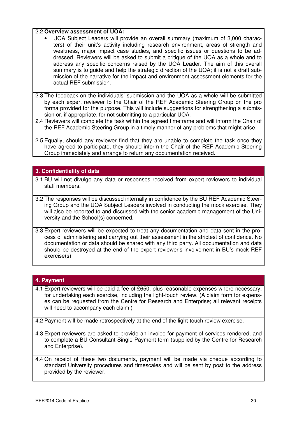### 2.2 **Overview assessment of UOA:**

- UOA Subject Leaders will provide an overall summary (maximum of 3,000 characters) of their unit's activity including research environment, areas of strength and weakness, major impact case studies, and specific issues or questions to be addressed. Reviewers will be asked to submit a critique of the UOA as a whole and to address any specific concerns raised by the UOA Leader. The aim of this overall summary is to guide and help the strategic direction of the UOA; it is not a draft submission of the narrative for the impact and environment assessment elements for the actual REF submission.
- 2.3 The feedback on the individuals' submission and the UOA as a whole will be submitted by each expert reviewer to the Chair of the REF Academic Steering Group on the pro forma provided for the purpose. This will include suggestions for strengthening a submission or, if appropriate, for not submitting to a particular UOA.
- 2.4 Reviewers will complete the task within the agreed timeframe and will inform the Chair of the REF Academic Steering Group in a timely manner of any problems that might arise.
- 2.5 Equally, should any reviewer find that they are unable to complete the task once they have agreed to participate, they should inform the Chair of the REF Academic Steering Group immediately and arrange to return any documentation received.

# **3. Confidentiality of data**

- 3.1 BU will not divulge any data or responses received from expert reviewers to individual staff members.
- 3.2 The responses will be discussed internally in confidence by the BU REF Academic Steering Group and the UOA Subject Leaders involved in conducting the mock exercise. They will also be reported to and discussed with the senior academic management of the University and the School(s) concerned.
- 3.3 Expert reviewers will be expected to treat any documentation and data sent in the process of administering and carrying out their assessment in the strictest of confidence. No documentation or data should be shared with any third party. All documentation and data should be destroyed at the end of the expert reviewer's involvement in BU's mock REF exercise(s).

#### **4. Payment**

- 4.1 Expert reviewers will be paid a fee of £650, plus reasonable expenses where necessary, for undertaking each exercise, including the light-touch review. (A claim form for expenses can be requested from the Centre for Research and Enterprise; all relevant receipts will need to accompany each claim.)
- 4.2 Payment will be made retrospectively at the end of the light-touch review exercise.
- 4.3 Expert reviewers are asked to provide an invoice for payment of services rendered, and to complete a BU Consultant Single Payment form (supplied by the Centre for Research and Enterprise).
- 4.4 On receipt of these two documents, payment will be made via cheque according to standard University procedures and timescales and will be sent by post to the address provided by the reviewer.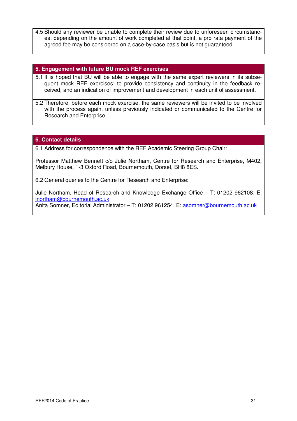4.5 Should any reviewer be unable to complete their review due to unforeseen circumstances: depending on the amount of work completed at that point, a pro rata payment of the agreed fee may be considered on a case-by-case basis but is not guaranteed.

### **5. Engagement with future BU mock REF exercises**

- 5.1 It is hoped that BU will be able to engage with the same expert reviewers in its subsequent mock REF exercises; to provide consistency and continuity in the feedback received, and an indication of improvement and development in each unit of assessment.
- 5.2 Therefore, before each mock exercise, the same reviewers will be invited to be involved with the process again, unless previously indicated or communicated to the Centre for Research and Enterprise.

# **6. Contact details**

6.1 Address for correspondence with the REF Academic Steering Group Chair:

Professor Matthew Bennett c/o Julie Northam, Centre for Research and Enterprise, M402, Melbury House, 1-3 Oxford Road, Bournemouth, Dorset, BH8 8ES.

6.2 General queries to the Centre for Research and Enterprise:

Julie Northam, Head of Research and Knowledge Exchange Office – T: 01202 962108; E: jnortham@bournemouth.ac.uk

Anita Somner, Editorial Administrator – T: 01202 961254; E: asomner@bournemouth.ac.uk